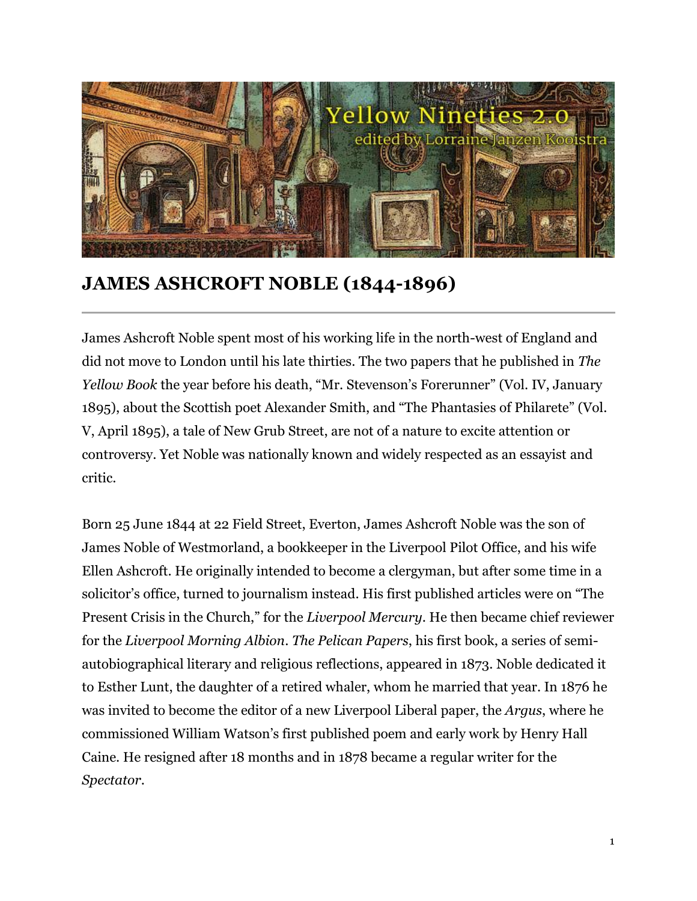

## **JAMES ASHCROFT NOBLE (1844-1896)**

James Ashcroft Noble spent most of his working life in the north-west of England and did not move to London until his late thirties. The two papers that he published in *The Yellow Book* the year before his death, "Mr. Stevenson's Forerunner" (Vol. IV, January 1895), about the Scottish poet Alexander Smith, and "The Phantasies of Philarete" (Vol. V, April 1895), a tale of New Grub Street, are not of a nature to excite attention or controversy. Yet Noble was nationally known and widely respected as an essayist and critic.

Born 25 June 1844 at 22 Field Street, Everton, James Ashcroft Noble was the son of James Noble of Westmorland, a bookkeeper in the Liverpool Pilot Office, and his wife Ellen Ashcroft. He originally intended to become a clergyman, but after some time in a solicitor's office, turned to journalism instead. His first published articles were on "The Present Crisis in the Church," for the *Liverpool Mercury*. He then became chief reviewer for the *Liverpool Morning Albion*. *The Pelican Papers*, his first book, a series of semiautobiographical literary and religious reflections, appeared in 1873. Noble dedicated it to Esther Lunt, the daughter of a retired whaler, whom he married that year. In 1876 he was invited to become the editor of a new Liverpool Liberal paper, the *Argus*, where he commissioned William Watson's first published poem and early work by Henry Hall Caine. He resigned after 18 months and in 1878 became a regular writer for the *Spectator*.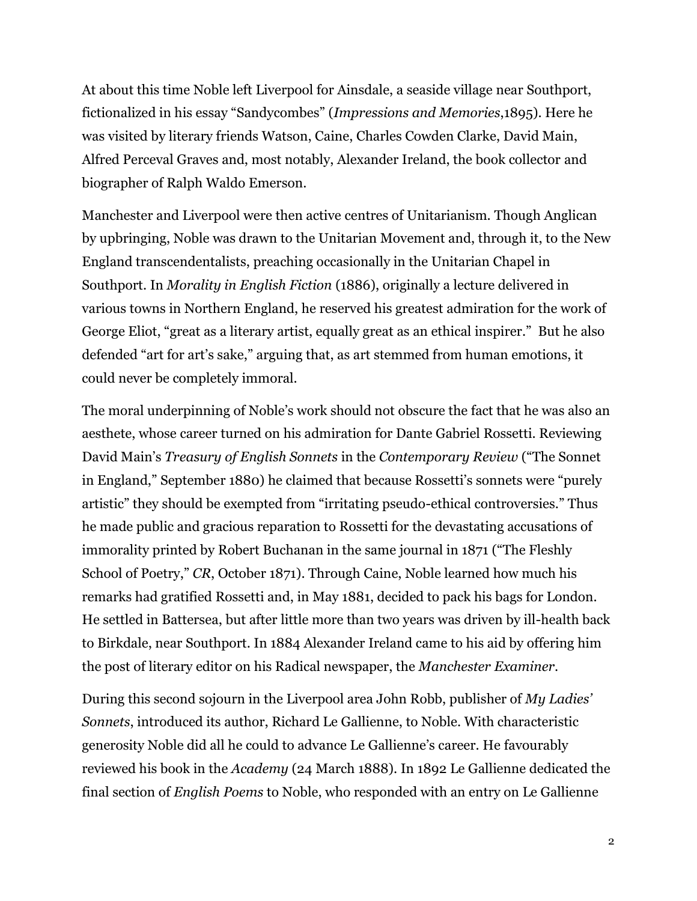At about this time Noble left Liverpool for Ainsdale, a seaside village near Southport, fictionalized in his essay "Sandycombes" (*Impressions and Memories*,1895). Here he was visited by literary friends Watson, Caine, Charles Cowden Clarke, David Main, Alfred Perceval Graves and, most notably, Alexander Ireland, the book collector and biographer of Ralph Waldo Emerson.

Manchester and Liverpool were then active centres of Unitarianism. Though Anglican by upbringing, Noble was drawn to the Unitarian Movement and, through it, to the New England transcendentalists, preaching occasionally in the Unitarian Chapel in Southport. In *Morality in English Fiction* (1886), originally a lecture delivered in various towns in Northern England, he reserved his greatest admiration for the work of George Eliot, "great as a literary artist, equally great as an ethical inspirer." But he also defended "art for art's sake," arguing that, as art stemmed from human emotions, it could never be completely immoral.

The moral underpinning of Noble's work should not obscure the fact that he was also an aesthete, whose career turned on his admiration for Dante Gabriel Rossetti. Reviewing David Main's *Treasury of English Sonnets* in the *Contemporary Review* ("The Sonnet in England," September 1880) he claimed that because Rossetti's sonnets were "purely artistic" they should be exempted from "irritating pseudo-ethical controversies." Thus he made public and gracious reparation to Rossetti for the devastating accusations of immorality printed by Robert Buchanan in the same journal in 1871 ("The Fleshly School of Poetry," *CR*, October 1871). Through Caine, Noble learned how much his remarks had gratified Rossetti and, in May 1881, decided to pack his bags for London. He settled in Battersea, but after little more than two years was driven by ill-health back to Birkdale, near Southport. In 1884 Alexander Ireland came to his aid by offering him the post of literary editor on his Radical newspaper, the *Manchester Examiner*.

During this second sojourn in the Liverpool area John Robb, publisher of *My Ladies' Sonnets*, introduced its author, Richard Le Gallienne, to Noble. With characteristic generosity Noble did all he could to advance Le Gallienne's career. He favourably reviewed his book in the *Academy* (24 March 1888). In 1892 Le Gallienne dedicated the final section of *English Poems* to Noble, who responded with an entry on Le Gallienne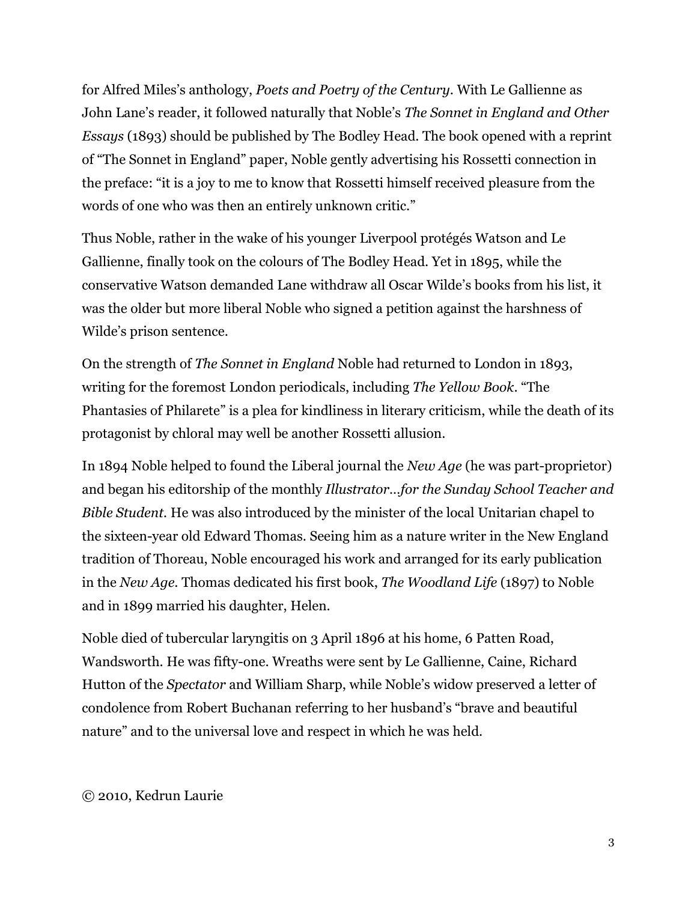for Alfred Miles's anthology, *Poets and Poetry of the Century*. With Le Gallienne as John Lane's reader, it followed naturally that Noble's *The Sonnet in England and Other Essays* (1893) should be published by The Bodley Head. The book opened with a reprint of "The Sonnet in England" paper, Noble gently advertising his Rossetti connection in the preface: "it is a joy to me to know that Rossetti himself received pleasure from the words of one who was then an entirely unknown critic."

Thus Noble, rather in the wake of his younger Liverpool protégés Watson and Le Gallienne, finally took on the colours of The Bodley Head. Yet in 1895, while the conservative Watson demanded Lane withdraw all Oscar Wilde's books from his list, it was the older but more liberal Noble who signed a petition against the harshness of Wilde's prison sentence.

On the strength of *The Sonnet in England* Noble had returned to London in 1893, writing for the foremost London periodicals, including *The Yellow Book*. "The Phantasies of Philarete" is a plea for kindliness in literary criticism, while the death of its protagonist by chloral may well be another Rossetti allusion.

In 1894 Noble helped to found the Liberal journal the *New Age* (he was part-proprietor) and began his editorship of the monthly *Illustrator…for the Sunday School Teacher and Bible Student.* He was also introduced by the minister of the local Unitarian chapel to the sixteen-year old Edward Thomas. Seeing him as a nature writer in the New England tradition of Thoreau, Noble encouraged his work and arranged for its early publication in the *New Age*. Thomas dedicated his first book, *The Woodland Life* (1897) to Noble and in 1899 married his daughter, Helen.

Noble died of tubercular laryngitis on 3 April 1896 at his home, 6 Patten Road, Wandsworth. He was fifty-one. Wreaths were sent by Le Gallienne, Caine, Richard Hutton of the *Spectator* and William Sharp, while Noble's widow preserved a letter of condolence from Robert Buchanan referring to her husband's "brave and beautiful nature" and to the universal love and respect in which he was held.

## © 2010, Kedrun Laurie